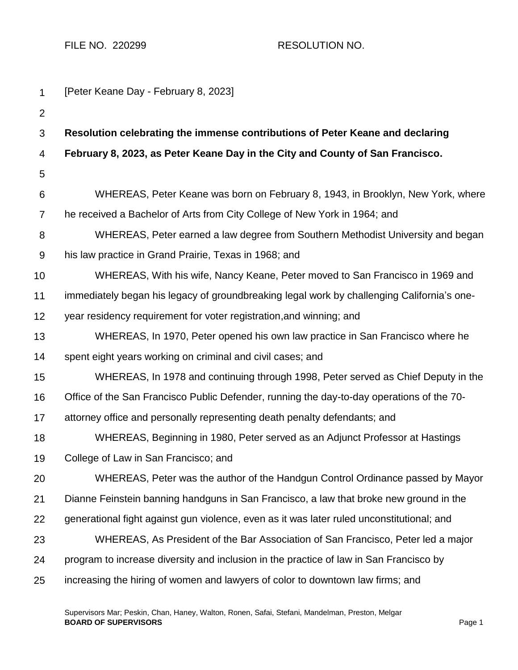FILE NO. 220299 RESOLUTION NO.

| 1              | [Peter Keane Day - February 8, 2023]                                                       |
|----------------|--------------------------------------------------------------------------------------------|
| $\overline{2}$ |                                                                                            |
| 3              | Resolution celebrating the immense contributions of Peter Keane and declaring              |
| 4              | February 8, 2023, as Peter Keane Day in the City and County of San Francisco.              |
| 5              |                                                                                            |
| 6              | WHEREAS, Peter Keane was born on February 8, 1943, in Brooklyn, New York, where            |
| $\overline{7}$ | he received a Bachelor of Arts from City College of New York in 1964; and                  |
| 8              | WHEREAS, Peter earned a law degree from Southern Methodist University and began            |
| 9              | his law practice in Grand Prairie, Texas in 1968; and                                      |
| 10             | WHEREAS, With his wife, Nancy Keane, Peter moved to San Francisco in 1969 and              |
| 11             | immediately began his legacy of groundbreaking legal work by challenging California's one- |
| 12             | year residency requirement for voter registration, and winning; and                        |
| 13             | WHEREAS, In 1970, Peter opened his own law practice in San Francisco where he              |
| 14             | spent eight years working on criminal and civil cases; and                                 |
| 15             | WHEREAS, In 1978 and continuing through 1998, Peter served as Chief Deputy in the          |
| 16             | Office of the San Francisco Public Defender, running the day-to-day operations of the 70-  |
| 17             | attorney office and personally representing death penalty defendants; and                  |
| 18             | WHEREAS, Beginning in 1980, Peter served as an Adjunct Professor at Hastings               |
| 19             | College of Law in San Francisco; and                                                       |
| 20             | WHEREAS, Peter was the author of the Handgun Control Ordinance passed by Mayor             |
| 21             | Dianne Feinstein banning handguns in San Francisco, a law that broke new ground in the     |
| 22             | generational fight against gun violence, even as it was later ruled unconstitutional; and  |
| 23             | WHEREAS, As President of the Bar Association of San Francisco, Peter led a major           |
| 24             | program to increase diversity and inclusion in the practice of law in San Francisco by     |
| 25             | increasing the hiring of women and lawyers of color to downtown law firms; and             |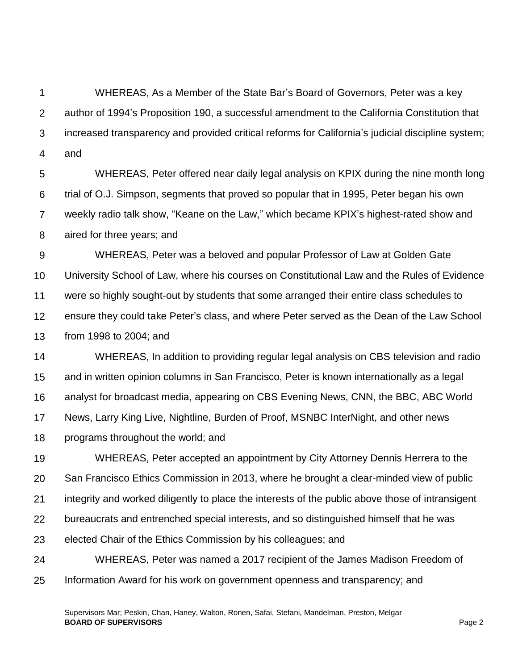1 2 3 4 WHEREAS, As a Member of the State Bar's Board of Governors, Peter was a key author of 1994's Proposition 190, a successful amendment to the California Constitution that increased transparency and provided critical reforms for California's judicial discipline system; and

5 6 7 8 WHEREAS, Peter offered near daily legal analysis on KPIX during the nine month long trial of O.J. Simpson, segments that proved so popular that in 1995, Peter began his own weekly radio talk show, "Keane on the Law," which became KPIX's highest-rated show and aired for three years; and

9 10 11 12 13 WHEREAS, Peter was a beloved and popular Professor of Law at Golden Gate University School of Law, where his courses on Constitutional Law and the Rules of Evidence were so highly sought-out by students that some arranged their entire class schedules to ensure they could take Peter's class, and where Peter served as the Dean of the Law School from 1998 to 2004; and

14 15 16 17 18 WHEREAS, In addition to providing regular legal analysis on CBS television and radio and in written opinion columns in San Francisco, Peter is known internationally as a legal analyst for broadcast media, appearing on CBS Evening News, CNN, the BBC, ABC World News, Larry King Live, Nightline, Burden of Proof, MSNBC InterNight, and other news programs throughout the world; and

19 20 21 22 23 24 WHEREAS, Peter accepted an appointment by City Attorney Dennis Herrera to the San Francisco Ethics Commission in 2013, where he brought a clear-minded view of public integrity and worked diligently to place the interests of the public above those of intransigent bureaucrats and entrenched special interests, and so distinguished himself that he was elected Chair of the Ethics Commission by his colleagues; and WHEREAS, Peter was named a 2017 recipient of the James Madison Freedom of

25 Information Award for his work on government openness and transparency; and